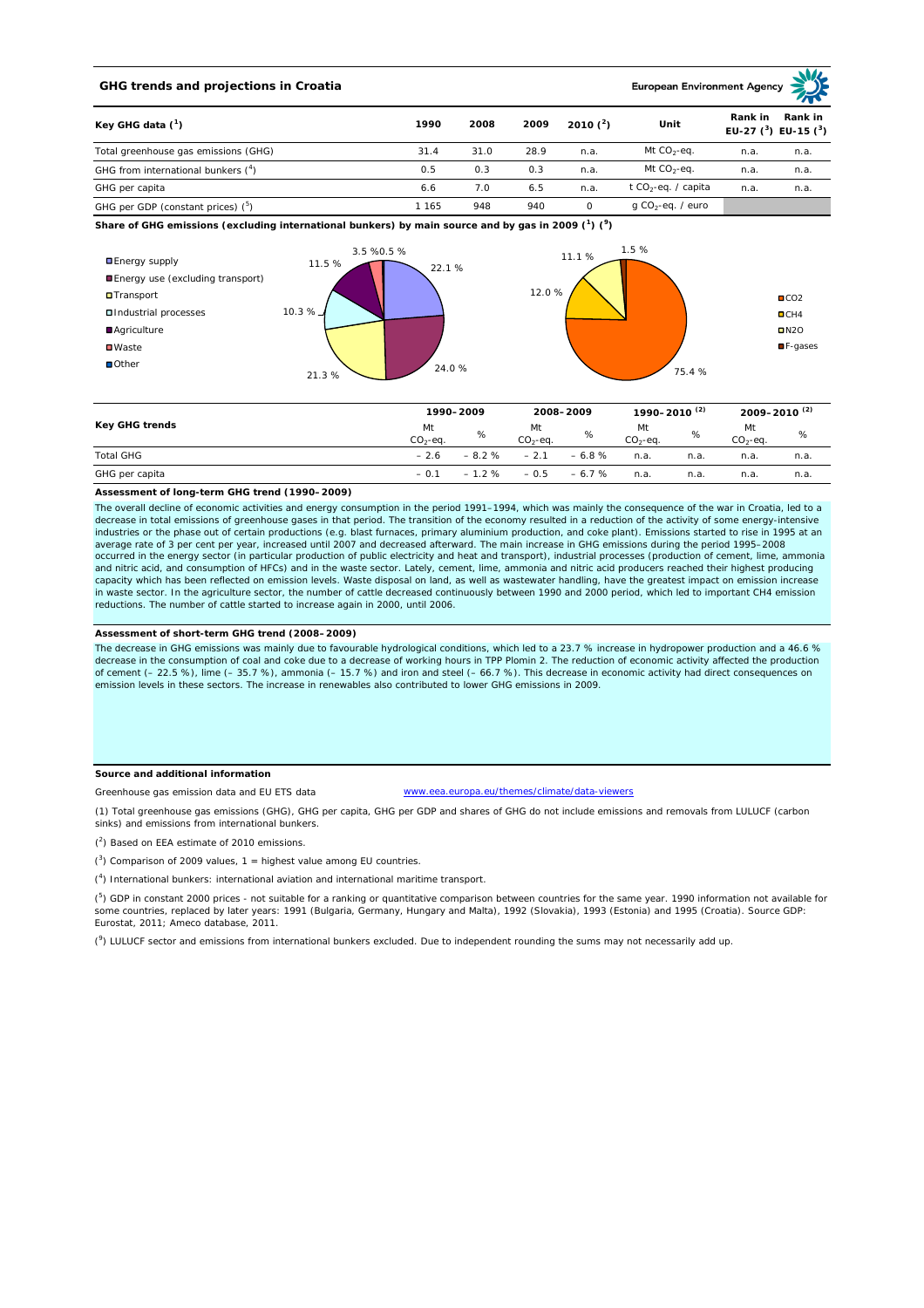## **GHG trends and projections in Croatia**

**European Environment Age** 

| Key GHG data $(^1)$                            | 1990  | 2008 | 2009 | 2010 $(2)$ | Unit                            | Rank in | Rank in<br>EU-27 $(^3)$ EU-15 $(^3)$ |  |
|------------------------------------------------|-------|------|------|------------|---------------------------------|---------|--------------------------------------|--|
| Total greenhouse gas emissions (GHG)           | 31.4  | 31.0 | 28.9 | n.a.       | Mt $CO_2$ -eq.                  | n.a.    | n.a.                                 |  |
| GHG from international bunkers $(^4)$          | 0.5   | 0.3  | 0.3  | n.a.       | Mt $CO_2$ -eq.                  | n.a.    | n.a.                                 |  |
| GHG per capita                                 | 6.6   | 7.0  | 6.5  | n.a.       | t CO <sub>2</sub> -eq. / capita | n.a.    | n.a.                                 |  |
| GHG per GDP (constant prices) ( <sup>5</sup> ) | l 165 | 948  | 940  |            | g CO <sub>2</sub> -eq. / euro   |         |                                      |  |

**Share of GHG emissions (excluding international bunkers) by main source and by gas in 2009 (<sup>1</sup> ) (<sup>9</sup> )**



|                  | 1990-2009       |         | 2008-2009       |         | 1990-2010 (2)   |      | 2009-2010 <sup>(2)</sup> |      |
|------------------|-----------------|---------|-----------------|---------|-----------------|------|--------------------------|------|
| Key GHG trends   | Mt<br>$CO2-eq.$ | %       | Mt<br>$CO2-eq.$ | %       | Mt<br>$CO2-ea.$ | %    | Mt<br>$CO2-ea.$          | %    |
| <b>Total GHG</b> | $-2.6$          | $-8.2%$ | $-2.1$          | $-6.8%$ | n.a.            | n.a  | n.a.                     | n.a. |
| GHG per capita   | $-0.1$          | $-1.2%$ | $-0.5$          | $-6.7%$ | n.a.            | n.a. | n.a.                     | n.a. |

#### **Assessment of long-term GHG trend (1990–2009)**

The overall decline of economic activities and energy consumption in the period 1991–1994, which was mainly the consequence of the war in Croatia, led to a<br>decrease in total emissions of greenhouse gases in that period. Th industries or the phase out of certain productions (e.g. blast furnaces, primary aluminium production, and coke plant). Emissions started to rise in 1995 at an average rate of 3 per cent per year, increased until 2007 and decreased afterward. The main increase in GHG emissions during the period 1995–2008 occurred in the energy sector (in particular production of public electricity and heat and transport), industrial processes (production of cement, lime, ammonia and nitric acid, and consumption of HFCs) and in the waste sector. Lately, cement, lime, ammonia and nitric acid producers reached their highest producing<br>capacity which has been reflected on emission levels. Waste disposa in waste sector. In the agriculture sector, the number of cattle decreased continuously between 1990 and 2000 period, which led to important CH4 emission reductions. The number of cattle started to increase again in 2000, until 2006.

#### **Assessment of short-term GHG trend (2008–2009)**

The decrease in GHG emissions was mainly due to favourable hydrological conditions, which led to a 23.7 % increase in hydropower production and a 46.6 % decrease in the consumption of coal and coke due to a decrease of working hours in TPP Plomin 2. The reduction of economic activity affected the production of cement (– 22.5 %), lime (– 35.7 %), ammonia (– 15.7 %) and iron and steel (– 66.7 %). This decrease in economic activity had direct consequences on emission levels in these sectors. The increase in renewables also contributed to lower GHG emissions in 2009.

### **Source and additional information**

Greenhouse gas emission data and EU ETS data

www.eea.europa.eu/themes/climate/data-viewers

(1) Total greenhouse gas emissions (GHG), GHG per capita, GHG per GDP and shares of GHG do not include emissions and removals from LULUCF (carbon sinks) and emissions from international bunkers.

 $(2)$  Based on EEA estimate of 2010 emissions.

 $(3)$  Comparison of 2009 values, 1 = highest value among EU countries.

( 4 ) International bunkers: international aviation and international maritime transport.

 $(^5)$  GDP in constant 2000 prices - not suitable for a ranking or quantitative comparison between countries for the same year. 1990 information not available for some countries, replaced by later years: 1991 (Bulgaria, Germany, Hungary and Malta), 1992 (Slovakia), 1993 (Estonia) and 1995 (Croatia). Source GDP: Eurostat, 2011; Ameco database, 2011.

(<sup>9</sup>) LULUCF sector and emissions from international bunkers excluded. Due to independent rounding the sums may not necessarily add up.